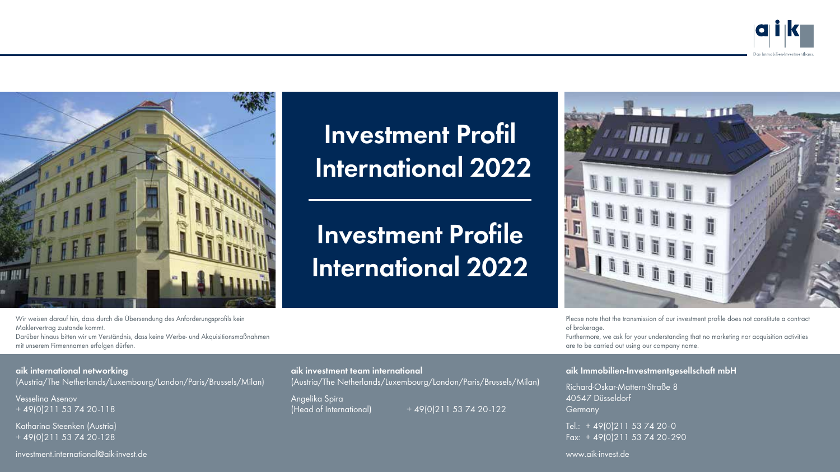



**Investment Profil International 2022**

**Investment Profile International 2022**



Please note that the transmission of our investment profile does not constitute a contract of brokerage.

Furthermore, we ask for your understanding that no marketing nor acquisition activities are to be carried out using our company name.

#### **aik Immobilien-Investmentgesellschaft mbH**

Richard-Oskar-Mattern-Straße 8 40547 Düsseldorf **Germany** 

Tel.: + 49(0)211 53 74 20-0 Fax: + 49(0)211 53 74 20-290

www.aik-invest.de

Wir weisen darauf hin, dass durch die Übersendung des Anforderungsprofils kein Maklervertrag zustande kommt. Darüber hinaus bitten wir um Verständnis, dass keine Werbe- und Akquisitionsmaßnahmen mit unserem Firmennamen erfolgen dürfen.

#### **aik international networking**

(Austria/The Netherlands/Luxembourg/London/Paris/Brussels/Milan)

Vesselina Asenov + 49(0)211 53 74 20-118

Katharina Steenken (Austria) + 49(0)211 53 74 20-128

investment.international@aik-invest.de

**aik investment team international** (Austria/The Netherlands/Luxembourg/London/Paris/Brussels/Milan)

Angelika Spira

 $(Head of International) + 49(0)211 53 74 20-122$